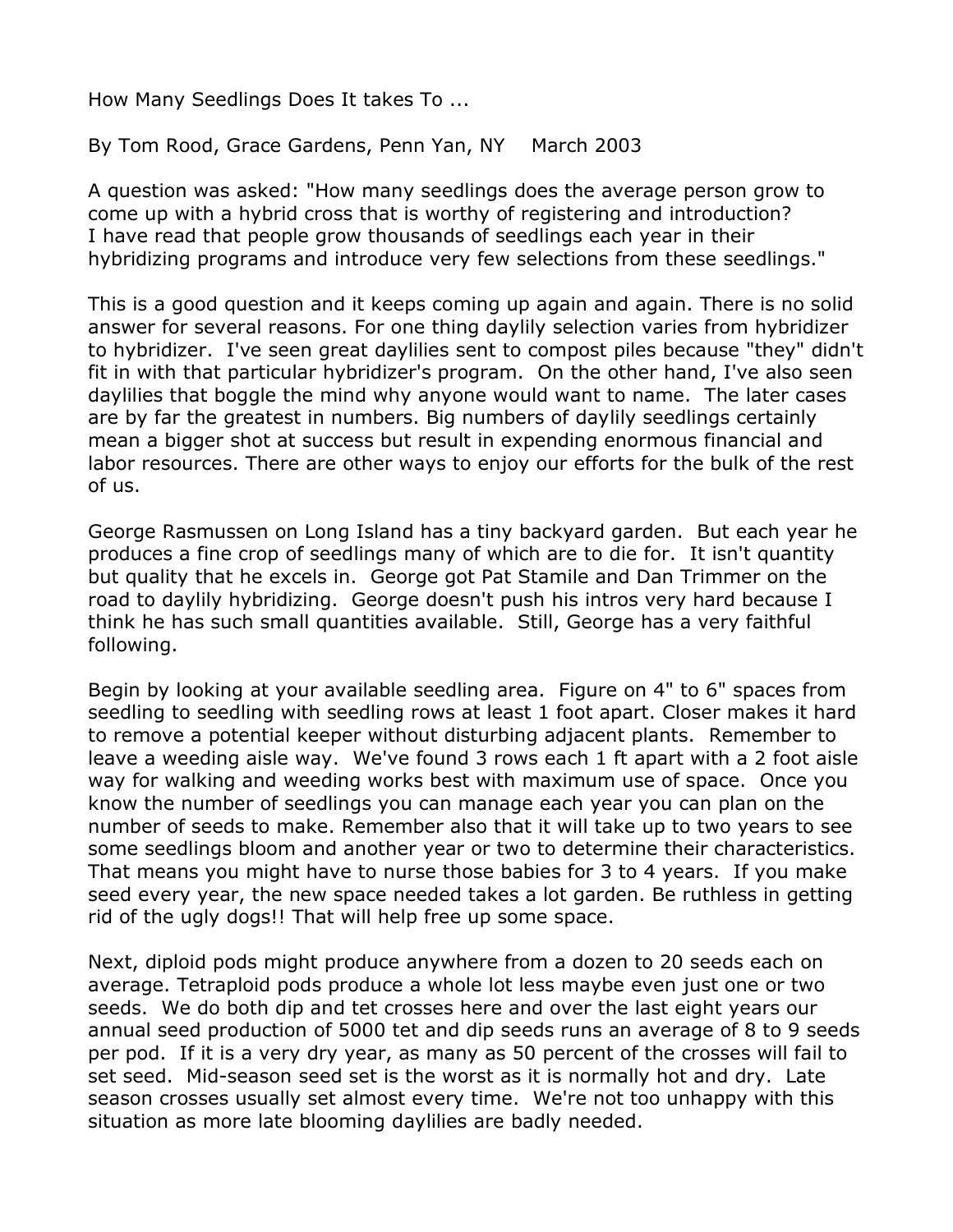How Many Seedlings Does It takes To ...

By Tom Rood, Grace Gardens, Penn Yan, NY March 2003

A question was asked: "How many seedlings does the average person grow to come up with a hybrid cross that is worthy of registering and introduction? I have read that people grow thousands of seedlings each year in their hybridizing programs and introduce very few selections from these seedlings."

This is a good question and it keeps coming up again and again. There is no solid answer for several reasons. For one thing daylily selection varies from hybridizer to hybridizer. I've seen great daylilies sent to compost piles because "they" didn't fit in with that particular hybridizer's program. On the other hand, I've also seen daylilies that boggle the mind why anyone would want to name. The later cases are by far the greatest in numbers. Big numbers of daylily seedlings certainly mean a bigger shot at success but result in expending enormous financial and labor resources. There are other ways to enjoy our efforts for the bulk of the rest of us.

George Rasmussen on Long Island has a tiny backyard garden. But each year he produces a fine crop of seedlings many of which are to die for. It isn't quantity but quality that he excels in. George got Pat Stamile and Dan Trimmer on the road to daylily hybridizing. George doesn't push his intros very hard because I think he has such small quantities available. Still, George has a very faithful following.

Begin by looking at your available seedling area. Figure on 4" to 6" spaces from seedling to seedling with seedling rows at least 1 foot apart. Closer makes it hard to remove a potential keeper without disturbing adjacent plants. Remember to leave a weeding aisle way. We've found 3 rows each 1 ft apart with a 2 foot aisle way for walking and weeding works best with maximum use of space. Once you know the number of seedlings you can manage each year you can plan on the number of seeds to make. Remember also that it will take up to two years to see some seedlings bloom and another year or two to determine their characteristics. That means you might have to nurse those babies for 3 to 4 years. If you make seed every year, the new space needed takes a lot garden. Be ruthless in getting rid of the ugly dogs!! That will help free up some space.

Next, diploid pods might produce anywhere from a dozen to 20 seeds each on average. Tetraploid pods produce a whole lot less maybe even just one or two seeds. We do both dip and tet crosses here and over the last eight years our annual seed production of 5000 tet and dip seeds runs an average of 8 to 9 seeds per pod. If it is a very dry year, as many as 50 percent of the crosses will fail to set seed. Mid-season seed set is the worst as it is normally hot and dry. Late season crosses usually set almost every time. We're not too unhappy with this situation as more late blooming daylilies are badly needed.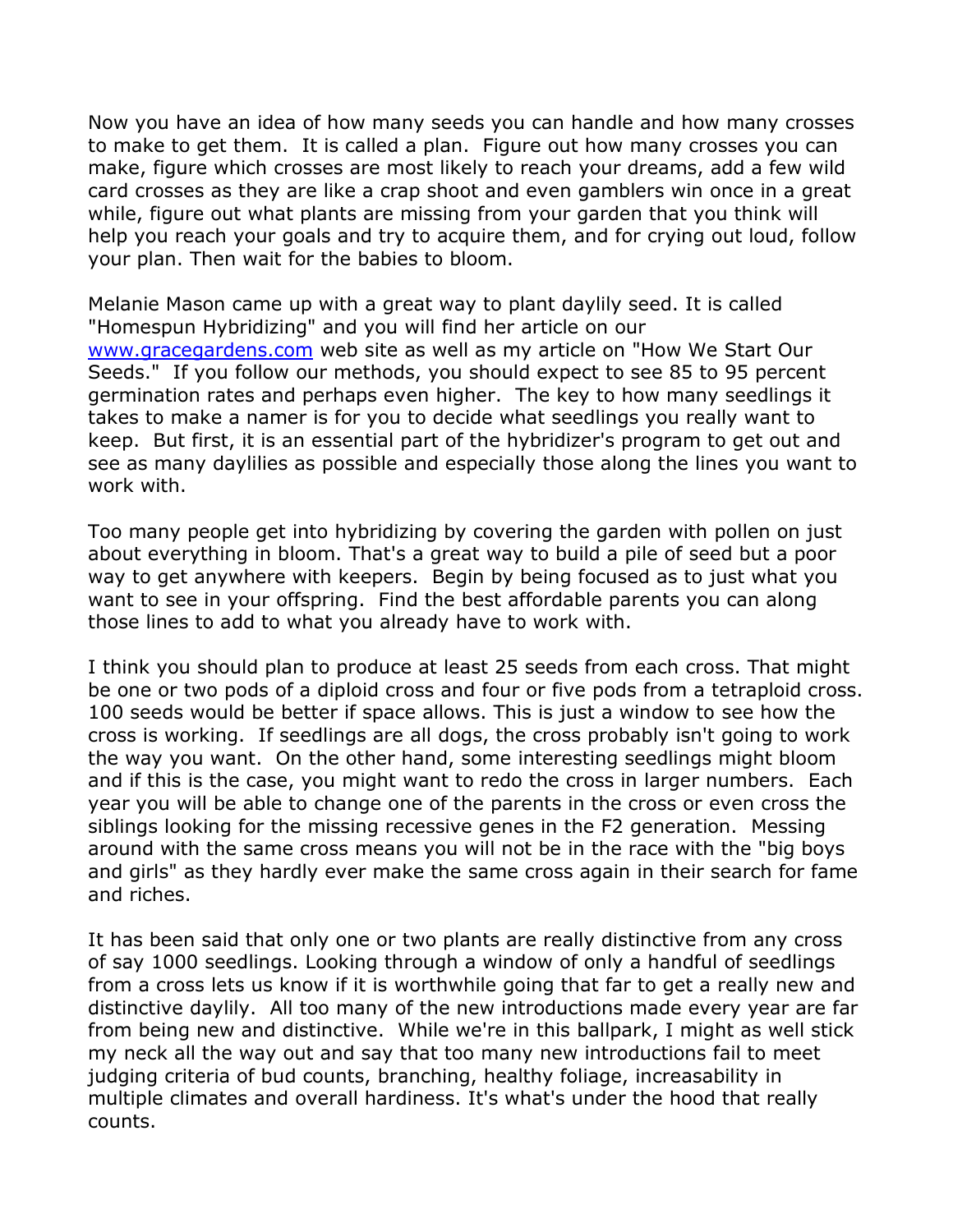Now you have an idea of how many seeds you can handle and how many crosses to make to get them. It is called a plan. Figure out how many crosses you can make, figure which crosses are most likely to reach your dreams, add a few wild card crosses as they are like a crap shoot and even gamblers win once in a great while, figure out what plants are missing from your garden that you think will help you reach your goals and try to acquire them, and for crying out loud, follow your plan. Then wait for the babies to bloom.

Melanie Mason came up with a great way to plant daylily seed. It is called "Homespun Hybridizing" and you will find her article on our <www.gracegardens.com> web site as well as my article on "How We Start Our Seeds." If you follow our methods, you should expect to see 85 to 95 percent germination rates and perhaps even higher. The key to how many seedlings it takes to make a namer is for you to decide what seedlings you really want to keep. But first, it is an essential part of the hybridizer's program to get out and see as many daylilies as possible and especially those along the lines you want to work with.

Too many people get into hybridizing by covering the garden with pollen on just about everything in bloom. That's a great way to build a pile of seed but a poor way to get anywhere with keepers. Begin by being focused as to just what you want to see in your offspring. Find the best affordable parents you can along those lines to add to what you already have to work with.

I think you should plan to produce at least 25 seeds from each cross. That might be one or two pods of a diploid cross and four or five pods from a tetraploid cross. 100 seeds would be better if space allows. This is just a window to see how the cross is working. If seedlings are all dogs, the cross probably isn't going to work the way you want. On the other hand, some interesting seedlings might bloom and if this is the case, you might want to redo the cross in larger numbers. Each year you will be able to change one of the parents in the cross or even cross the siblings looking for the missing recessive genes in the F2 generation. Messing around with the same cross means you will not be in the race with the "big boys and girls" as they hardly ever make the same cross again in their search for fame and riches.

It has been said that only one or two plants are really distinctive from any cross of say 1000 seedlings. Looking through a window of only a handful of seedlings from a cross lets us know if it is worthwhile going that far to get a really new and distinctive daylily. All too many of the new introductions made every year are far from being new and distinctive. While we're in this ballpark, I might as well stick my neck all the way out and say that too many new introductions fail to meet judging criteria of bud counts, branching, healthy foliage, increasability in multiple climates and overall hardiness. It's what's under the hood that really counts.